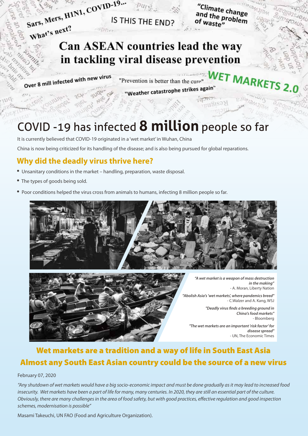

"Climate change"<br>and the probl and the change<br>of waste" of waste"

 $11211$ 

# What's next? Can ASEAN countries lead the way in tackling viral disease prevention

Over 8 mill infected with new virus

WET MARKE "Prevention is better than the cure! "Weather catastrophe strikes again"

# COVID -19 has infected **8 million** people so far

It is currently believed that COVID-19 originated in a 'wet market' in Wuhan, China

China is now being criticized for its handling of the disease; and is also being pursued for global reparations.

### **Why did the deadly virus thrive here?**

- Unsanitary conditions in the market handling, preparation, waste disposal.
- The types of goods being sold.
- Poor conditions helped the virus cross from animals to humans, infecting 8 million people so far.





*"A wet market is a weapon of mass destruction in the making"* - A. Moran, Liberty Nation

*"Abolish Asia's 'wet markets', where pandemics breed"* - C.Walzer and A. Kang, WSJ

> *"Deadly virus finds a breeding ground in China's food markets"* - Bloomberg

*"The wet markets are an important 'risk factor' for disease spread"* - UN, The Economic Times

## Wet markets are a tradition and a way of life in South East Asia Almost any South East Asian country could be the source of a new virus

#### February 07, 2020

*"Any shutdown of wet markets would have a big socio-economic impact and must be done gradually as it may lead to increased food insecurity. Wet markets have been a part of life for many, many centuries. In 2020, they are still an essential part of the culture. Obviously, there are many challenges in the area of food safety, but with good practices, effective regulation and good inspection schemes, modernisation is possible"* 

Masami Takeuchi, UN FAO (Food and Agriculture Organization).